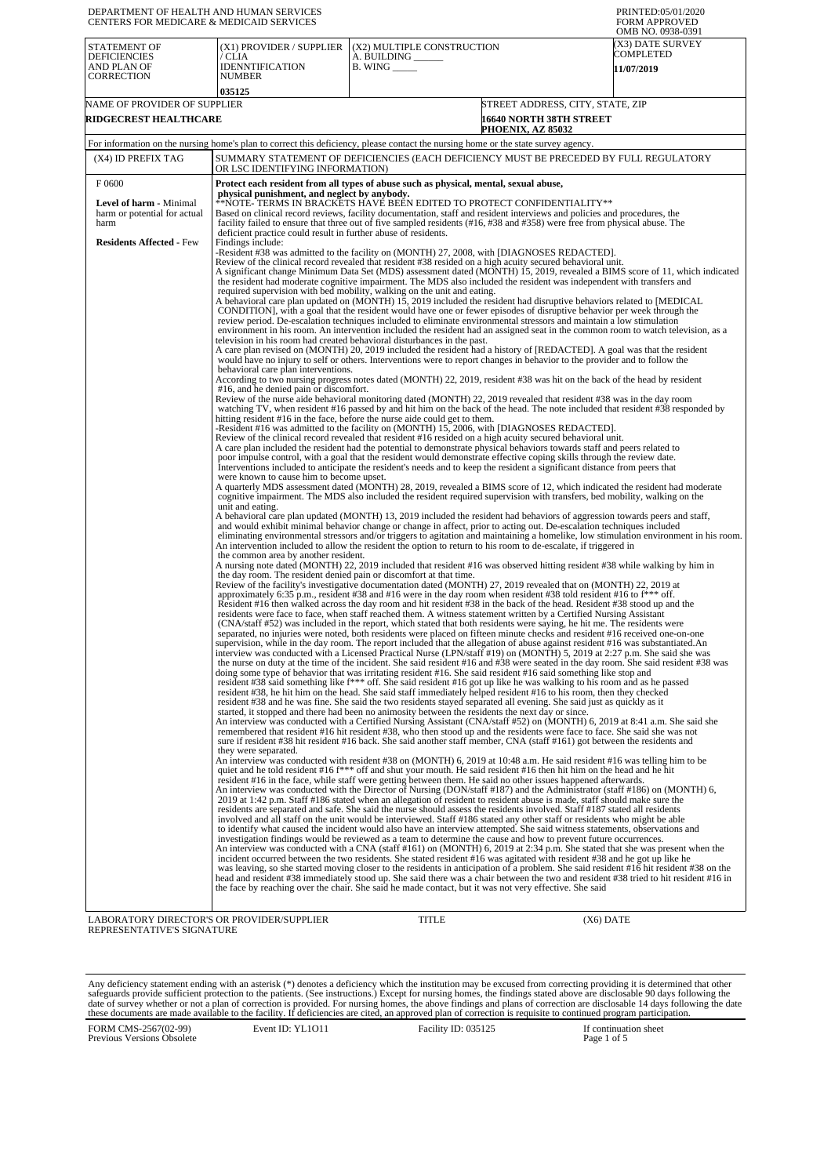| DEPARTMENT OF HEALTH AND HUMAN SERVICES<br><b>CENTERS FOR MEDICARE &amp; MEDICAID SERVICES</b>                     |                                                                                                                                                                                                                                                                                                                                                                                                                                                                                                                                                                                                                                                                                                                                                                                                                                                                                                                                                                                                                                                                                                                                                                                                                                                                                                                                                                                                                                                                                                                                                                                                                                                                                                                                                                                                                                                                                                                                                                                                                                                                                                                                                                                                                                                                                                                                                                                                                                                                                                                                                                                                                                                                                                                                                                                                                                                                                                                                                                                                                                                                                                                                                                                                                                                                                                                                                                                                                                                                                                                                                                                                                                                                                                                                                                                                                                                                                                                                                                                                                                                                                                                                                                                                                                                                                                                                                                                                                                                                                                                                                                                                                                                                                                                                                                                                                                                                                                                                                                                                                                                                                                                                                                                                                                                                                                                                                                                                                                                                                                                                                                                                                                                                                                                                                                                                                                                                                                                                                                                                                                                                                                                                                                                                                                                                                                                                                                                                                                                                                                                                                                                                                                                                                                                                                                                                                                                                                                                                                                                                                                                                                                                                                                                                                                                                                                                                                                                                                                                                                                                                                                                                                                                                                                                                                                                                                                                                                                                                                                                                                                                                          |                                                                                 |                                                                                         | PRINTED:05/01/2020<br><b>FORM APPROVED</b><br>OMB NO. 0938-0391                                                                       |
|--------------------------------------------------------------------------------------------------------------------|--------------------------------------------------------------------------------------------------------------------------------------------------------------------------------------------------------------------------------------------------------------------------------------------------------------------------------------------------------------------------------------------------------------------------------------------------------------------------------------------------------------------------------------------------------------------------------------------------------------------------------------------------------------------------------------------------------------------------------------------------------------------------------------------------------------------------------------------------------------------------------------------------------------------------------------------------------------------------------------------------------------------------------------------------------------------------------------------------------------------------------------------------------------------------------------------------------------------------------------------------------------------------------------------------------------------------------------------------------------------------------------------------------------------------------------------------------------------------------------------------------------------------------------------------------------------------------------------------------------------------------------------------------------------------------------------------------------------------------------------------------------------------------------------------------------------------------------------------------------------------------------------------------------------------------------------------------------------------------------------------------------------------------------------------------------------------------------------------------------------------------------------------------------------------------------------------------------------------------------------------------------------------------------------------------------------------------------------------------------------------------------------------------------------------------------------------------------------------------------------------------------------------------------------------------------------------------------------------------------------------------------------------------------------------------------------------------------------------------------------------------------------------------------------------------------------------------------------------------------------------------------------------------------------------------------------------------------------------------------------------------------------------------------------------------------------------------------------------------------------------------------------------------------------------------------------------------------------------------------------------------------------------------------------------------------------------------------------------------------------------------------------------------------------------------------------------------------------------------------------------------------------------------------------------------------------------------------------------------------------------------------------------------------------------------------------------------------------------------------------------------------------------------------------------------------------------------------------------------------------------------------------------------------------------------------------------------------------------------------------------------------------------------------------------------------------------------------------------------------------------------------------------------------------------------------------------------------------------------------------------------------------------------------------------------------------------------------------------------------------------------------------------------------------------------------------------------------------------------------------------------------------------------------------------------------------------------------------------------------------------------------------------------------------------------------------------------------------------------------------------------------------------------------------------------------------------------------------------------------------------------------------------------------------------------------------------------------------------------------------------------------------------------------------------------------------------------------------------------------------------------------------------------------------------------------------------------------------------------------------------------------------------------------------------------------------------------------------------------------------------------------------------------------------------------------------------------------------------------------------------------------------------------------------------------------------------------------------------------------------------------------------------------------------------------------------------------------------------------------------------------------------------------------------------------------------------------------------------------------------------------------------------------------------------------------------------------------------------------------------------------------------------------------------------------------------------------------------------------------------------------------------------------------------------------------------------------------------------------------------------------------------------------------------------------------------------------------------------------------------------------------------------------------------------------------------------------------------------------------------------------------------------------------------------------------------------------------------------------------------------------------------------------------------------------------------------------------------------------------------------------------------------------------------------------------------------------------------------------------------------------------------------------------------------------------------------------------------------------------------------------------------------------------------------------------------------------------------------------------------------------------------------------------------------------------------------------------------------------------------------------------------------------------------------------------------------------------------------------------------------------------------------------------------------------------------------------------------------------------------------------------------------------------------------------------------------------------------------------------------------------------------------------------------------------------------------------------------------------------------------------------------------------------------------------------------------------------------------------------------------------------------------------------------------------------------------------------------------------------------------------------------------------------------------------------------------|---------------------------------------------------------------------------------|-----------------------------------------------------------------------------------------|---------------------------------------------------------------------------------------------------------------------------------------|
| STATEMENT OF<br><b>DEFICIENCIES</b><br>AND PLAN OF<br>CORRECTION                                                   | (X1) PROVIDER / SUPPLIER<br>/ CLIA<br><b>IDENNTIFICATION</b><br><b>NUMBER</b><br>035125                                                                                                                                                                                                                                                                                                                                                                                                                                                                                                                                                                                                                                                                                                                                                                                                                                                                                                                                                                                                                                                                                                                                                                                                                                                                                                                                                                                                                                                                                                                                                                                                                                                                                                                                                                                                                                                                                                                                                                                                                                                                                                                                                                                                                                                                                                                                                                                                                                                                                                                                                                                                                                                                                                                                                                                                                                                                                                                                                                                                                                                                                                                                                                                                                                                                                                                                                                                                                                                                                                                                                                                                                                                                                                                                                                                                                                                                                                                                                                                                                                                                                                                                                                                                                                                                                                                                                                                                                                                                                                                                                                                                                                                                                                                                                                                                                                                                                                                                                                                                                                                                                                                                                                                                                                                                                                                                                                                                                                                                                                                                                                                                                                                                                                                                                                                                                                                                                                                                                                                                                                                                                                                                                                                                                                                                                                                                                                                                                                                                                                                                                                                                                                                                                                                                                                                                                                                                                                                                                                                                                                                                                                                                                                                                                                                                                                                                                                                                                                                                                                                                                                                                                                                                                                                                                                                                                                                                                                                                                                                  | (X2) MULTIPLE CONSTRUCTION<br>A. BUILDING ______<br>$B.$ WING $\_\_\_\_\_\_\_\$ |                                                                                         | (X3) DATE SURVEY<br>COMPLETED<br>11/07/2019                                                                                           |
| NAME OF PROVIDER OF SUPPLIER<br><b>RIDGECREST HEALTHCARE</b>                                                       |                                                                                                                                                                                                                                                                                                                                                                                                                                                                                                                                                                                                                                                                                                                                                                                                                                                                                                                                                                                                                                                                                                                                                                                                                                                                                                                                                                                                                                                                                                                                                                                                                                                                                                                                                                                                                                                                                                                                                                                                                                                                                                                                                                                                                                                                                                                                                                                                                                                                                                                                                                                                                                                                                                                                                                                                                                                                                                                                                                                                                                                                                                                                                                                                                                                                                                                                                                                                                                                                                                                                                                                                                                                                                                                                                                                                                                                                                                                                                                                                                                                                                                                                                                                                                                                                                                                                                                                                                                                                                                                                                                                                                                                                                                                                                                                                                                                                                                                                                                                                                                                                                                                                                                                                                                                                                                                                                                                                                                                                                                                                                                                                                                                                                                                                                                                                                                                                                                                                                                                                                                                                                                                                                                                                                                                                                                                                                                                                                                                                                                                                                                                                                                                                                                                                                                                                                                                                                                                                                                                                                                                                                                                                                                                                                                                                                                                                                                                                                                                                                                                                                                                                                                                                                                                                                                                                                                                                                                                                                                                                                                                                          |                                                                                 | STREET ADDRESS, CITY, STATE, ZIP<br><b>16640 NORTH 38TH STREET</b><br>PHOENIX, AZ 85032 |                                                                                                                                       |
|                                                                                                                    | For information on the nursing home's plan to correct this deficiency, please contact the nursing home or the state survey agency.                                                                                                                                                                                                                                                                                                                                                                                                                                                                                                                                                                                                                                                                                                                                                                                                                                                                                                                                                                                                                                                                                                                                                                                                                                                                                                                                                                                                                                                                                                                                                                                                                                                                                                                                                                                                                                                                                                                                                                                                                                                                                                                                                                                                                                                                                                                                                                                                                                                                                                                                                                                                                                                                                                                                                                                                                                                                                                                                                                                                                                                                                                                                                                                                                                                                                                                                                                                                                                                                                                                                                                                                                                                                                                                                                                                                                                                                                                                                                                                                                                                                                                                                                                                                                                                                                                                                                                                                                                                                                                                                                                                                                                                                                                                                                                                                                                                                                                                                                                                                                                                                                                                                                                                                                                                                                                                                                                                                                                                                                                                                                                                                                                                                                                                                                                                                                                                                                                                                                                                                                                                                                                                                                                                                                                                                                                                                                                                                                                                                                                                                                                                                                                                                                                                                                                                                                                                                                                                                                                                                                                                                                                                                                                                                                                                                                                                                                                                                                                                                                                                                                                                                                                                                                                                                                                                                                                                                                                                                       |                                                                                 |                                                                                         |                                                                                                                                       |
| (X4) ID PREFIX TAG                                                                                                 | SUMMARY STATEMENT OF DEFICIENCIES (EACH DEFICIENCY MUST BE PRECEDED BY FULL REGULATORY<br>OR LSC IDENTIFYING INFORMATION)                                                                                                                                                                                                                                                                                                                                                                                                                                                                                                                                                                                                                                                                                                                                                                                                                                                                                                                                                                                                                                                                                                                                                                                                                                                                                                                                                                                                                                                                                                                                                                                                                                                                                                                                                                                                                                                                                                                                                                                                                                                                                                                                                                                                                                                                                                                                                                                                                                                                                                                                                                                                                                                                                                                                                                                                                                                                                                                                                                                                                                                                                                                                                                                                                                                                                                                                                                                                                                                                                                                                                                                                                                                                                                                                                                                                                                                                                                                                                                                                                                                                                                                                                                                                                                                                                                                                                                                                                                                                                                                                                                                                                                                                                                                                                                                                                                                                                                                                                                                                                                                                                                                                                                                                                                                                                                                                                                                                                                                                                                                                                                                                                                                                                                                                                                                                                                                                                                                                                                                                                                                                                                                                                                                                                                                                                                                                                                                                                                                                                                                                                                                                                                                                                                                                                                                                                                                                                                                                                                                                                                                                                                                                                                                                                                                                                                                                                                                                                                                                                                                                                                                                                                                                                                                                                                                                                                                                                                                                                |                                                                                 |                                                                                         |                                                                                                                                       |
| F0600<br><b>Level of harm - Minimal</b><br>harm or potential for actual<br>harm<br><b>Residents Affected - Few</b> | Protect each resident from all types of abuse such as physical, mental, sexual abuse,<br>physical punishment, and neglect by anybody.<br>**NOTE- TERMS IN BRACKETS HAVE BEEN EDITED TO PROTECT CONFIDENTIALITY**<br>Based on clinical record reviews, facility documentation, staff and resident interviews and policies and procedures, the<br>facility failed to ensure that three out of five sampled residents (#16, #38 and #358) were free from physical abuse. The<br>deficient practice could result in further abuse of residents.<br>Findings include:<br>-Resident #38 was admitted to the facility on (MONTH) 27, 2008, with [DIAGNOSES REDACTED].<br>Review of the clinical record revealed that resident #38 resided on a high acuity secured behavioral unit.<br>A significant change Minimum Data Set (MDS) assessment dated (MONTH) 15, 2019, revealed a BIMS score of 11, which indicated<br>the resident had moderate cognitive impairment. The MDS also included the resident was independent with transfers and<br>required supervision with bed mobility, walking on the unit and eating.<br>A behavioral care plan updated on (MONTH) 15, 2019 included the resident had disruptive behaviors related to [MEDICAL<br>CONDITION], with a goal that the resident would have one or fewer episodes of disruptive behavior per week through the<br>review period. De-escalation techniques included to eliminate environmental stressors and maintain a low stimulation<br>environment in his room. An intervention included the resident had an assigned seat in the common room to watch television, as a<br>television in his room had created behavioral disturbances in the past.<br>A care plan revised on (MONTH) 20, 2019 included the resident had a history of [REDACTED]. A goal was that the resident<br>would have no injury to self or others. Interventions were to report changes in behavior to the provider and to follow the<br>behavioral care plan interventions.<br>According to two nursing progress notes dated (MONTH) 22, 2019, resident #38 was hit on the back of the head by resident<br>#16, and he denied pain or discomfort.<br>Review of the nurse aide behavioral monitoring dated (MONTH) 22, 2019 revealed that resident #38 was in the day room<br>watching TV, when resident #16 passed by and hit him on the back of the head. The note included that resident #38 responded by<br>hitting resident #16 in the face, before the nurse aide could get to them.<br>-Resident #16 was admitted to the facility on (MONTH) 15, 2006, with [DIAGNOSES REDACTED].<br>Review of the clinical record revealed that resident #16 resided on a high acuity secured behavioral unit.<br>A care plan included the resident had the potential to demonstrate physical behaviors towards staff and peers related to<br>poor impulse control, with a goal that the resident would demonstrate effective coping skills through the review date.<br>Interventions included to anticipate the resident's needs and to keep the resident a significant distance from peers that<br>were known to cause him to become upset.<br>A quarterly MDS assessment dated (MONTH) 28, 2019, revealed a BIMS score of 12, which indicated the resident had moderate<br>cognitive impairment. The MDS also included the resident required supervision with transfers, bed mobility, walking on the<br>unit and eating.<br>A behavioral care plan updated (MONTH) 13, 2019 included the resident had behaviors of aggression towards peers and staff,<br>and would exhibit minimal behavior change or change in affect, prior to acting out. De-escalation techniques included<br>An intervention included to allow the resident the option to return to his room to de-escalate, if triggered in<br>the common area by another resident.<br>A nursing note dated (MONTH) 22, 2019 included that resident #16 was observed hitting resident #38 while walking by him in<br>the day room. The resident denied pain or discomfort at that time.<br>Review of the facility's investigative documentation dated (MONTH) 27, 2019 revealed that on (MONTH) 22, 2019 at<br>approximately 6:35 p.m., resident #38 and #16 were in the day room when resident #38 told resident #16 to f*** off.<br>Resident #16 then walked across the day room and hit resident #38 in the back of the head. Resident #38 stood up and the<br>residents were face to face, when staff reached them. A witness statement written by a Certified Nursing Assistant<br>(CNA/staff #52) was included in the report, which stated that both residents were saying, he hit me. The residents were<br>separated, no injuries were noted, both residents were placed on fifteen minute checks and resident #16 received one-on-one<br>supervision, while in the day room. The report included that the allegation of abuse against resident #16 was substantiated.An<br>interview was conducted with a Licensed Practical Nurse (LPN/staff #19) on (MONTH) 5, 2019 at 2:27 p.m. She said she was<br>the nurse on duty at the time of the incident. She said resident #16 and #38 were seated in the day room. She said resident #38 was<br>doing some type of behavior that was irritating resident #16. She said resident #16 said something like stop and<br>resident #38 said something like f*** off. She said resident #16 got up like he was walking to his room and as he passed<br>resident #38, he hit him on the head. She said staff immediately helped resident #16 to his room, then they checked<br>resident #38 and he was fine. She said the two residents stayed separated all evening. She said just as quickly as it<br>started, it stopped and there had been no animosity between the residents the next day or since.<br>An interview was conducted with a Certified Nursing Assistant (CNA/staff #52) on (MONTH) 6, 2019 at 8:41 a.m. She said she<br>remembered that resident #16 hit resident #38, who then stood up and the residents were face to face. She said she was not<br>sure if resident #38 hit resident #16 back. She said another staff member, CNA (staff #161) got between the residents and<br>they were separated.<br>An interview was conducted with resident #38 on (MONTH) 6, 2019 at 10:48 a.m. He said resident #16 was telling him to be<br>quiet and he told resident #16 f <sup>***</sup> off and shut your mouth. He said resident #16 then hit him on the head and he hit<br>resident #16 in the face, while staff were getting between them. He said no other issues happened afterwards.<br>An interview was conducted with the Director of Nursing (DON/staff #187) and the Administrator (staff #186) on (MONTH) 6,<br>2019 at 1:42 p.m. Staff #186 stated when an allegation of resident to resident abuse is made, staff should make sure the<br>residents are separated and safe. She said the nurse should assess the residents involved. Staff #187 stated all residents<br>involved and all staff on the unit would be interviewed. Staff #186 stated any other staff or residents who might be able<br>to identify what caused the incident would also have an interview attempted. She said witness statements, observations and<br>investigation findings would be reviewed as a team to determine the cause and how to prevent future occurrences.<br>An interview was conducted with a CNA (staff #161) on (MONTH) 6, 2019 at 2:34 p.m. She stated that she was present when the<br>incident occurred between the two residents. She stated resident #16 was agitated with resident #38 and he got up like he<br>was leaving, so she started moving closer to the residents in anticipation of a problem. She said resident #16 hit resident #38 on the<br>head and resident #38 immediately stood up. She said there was a chair between the two and resident #38 tried to hit resident #16 in<br>the face by reaching over the chair. She said he made contact, but it was not very effective. She said |                                                                                 |                                                                                         | eliminating environmental stressors and/or triggers to agitation and maintaining a homelike, low stimulation environment in his room. |

LABORATORY DIRECTOR'S OR PROVIDER/SUPPLIER REPRESENTATIVE'S SIGNATURE

TITLE (X6) DATE

Any deficiency statement ending with an asterisk (\*) denotes a deficiency which the institution may be excused from correcting providing it is determined that other safeguards provide sufficient protection to the patients.

FORM CMS-2567(02-99) Previous Versions Obsolete Event ID: YL1O11 Facility ID: 035125 If continuation sheet<br>Page 1 of 5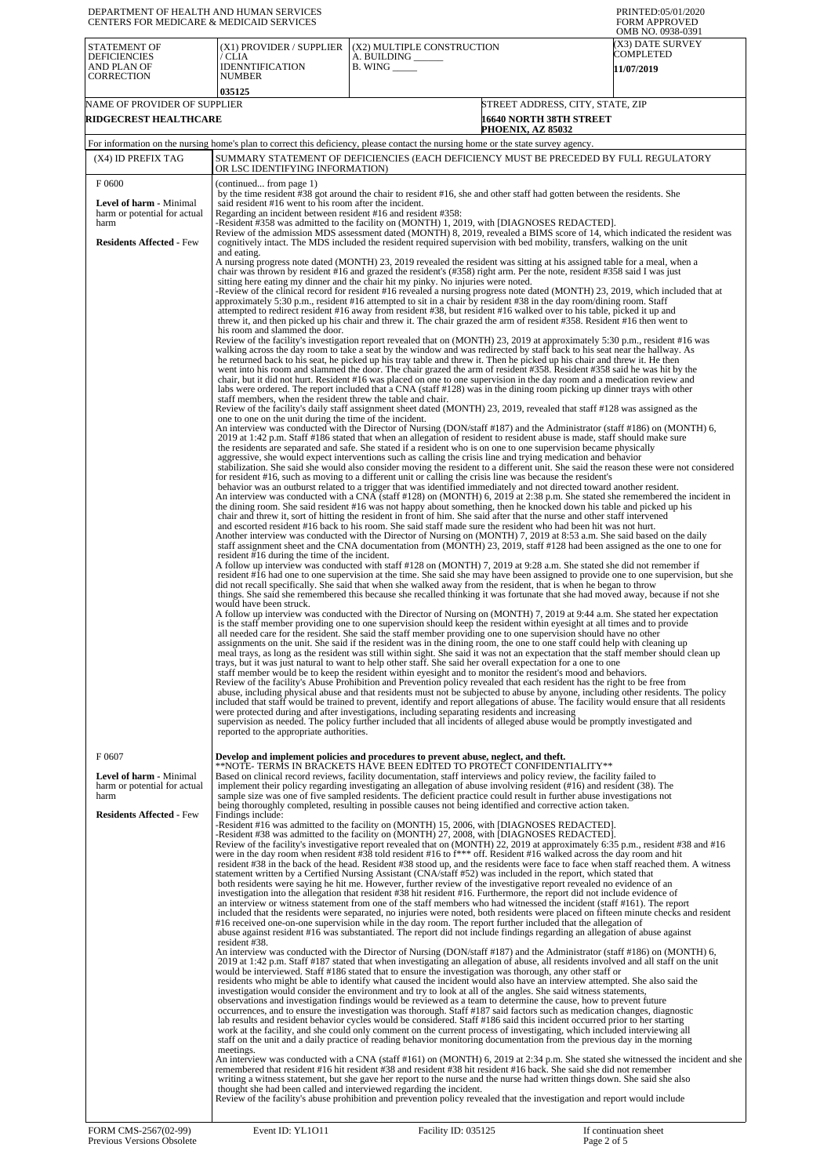| OMB NO. 0938-0391<br>(X3) DATE SURVEY<br>STATEMENT OF<br>(X1) PROVIDER / SUPPLIER<br>(X2) MULTIPLE CONSTRUCTION<br>COMPLETED<br><b>DEFICIENCIES</b><br>A. BUILDING __<br>/ CLIA<br>AND PLAN OF<br><b>IDENNTIFICATION</b><br>$B.$ WING $\_\_\_\_\_\_\$<br><b>11/07/2019</b><br><b>CORRECTION</b><br><b>NUMBER</b><br>035125<br>NAME OF PROVIDER OF SUPPLIER<br>STREET ADDRESS, CITY, STATE, ZIP<br>RIDGECREST HEALTHCARE<br><b>16640 NORTH 38TH STREET</b><br>PHOENIX, AZ 85032<br>For information on the nursing home's plan to correct this deficiency, please contact the nursing home or the state survey agency.<br>(X4) ID PREFIX TAG<br>SUMMARY STATEMENT OF DEFICIENCIES (EACH DEFICIENCY MUST BE PRECEDED BY FULL REGULATORY<br>OR LSC IDENTIFYING INFORMATION)<br>F0600<br>(continued from page 1)<br>by the time resident #38 got around the chair to resident #16, she and other staff had gotten between the residents. She<br>said resident #16 went to his room after the incident.<br><b>Level of harm - Minimal</b><br>Regarding an incident between resident #16 and resident #358:<br>harm or potential for actual<br>-Resident #358 was admitted to the facility on (MONTH) 1, 2019, with [DIAGNOSES REDACTED].<br>harm<br>Review of the admission MDS assessment dated (MONTH) 8, 2019, revealed a BIMS score of 14, which indicated the resident was<br><b>Residents Affected - Few</b><br>cognitively intact. The MDS included the resident required supervision with bed mobility, transfers, walking on the unit<br>and eating.<br>A nursing progress note dated (MONTH) 23, 2019 revealed the resident was sitting at his assigned table for a meal, when a<br>chair was thrown by resident #16 and grazed the resident's (#358) right arm. Per the note, resident #358 said I was just<br>sitting here eating my dinner and the chair hit my pinky. No injuries were noted.<br>-Review of the clinical record for resident #16 revealed a nursing progress note dated (MONTH) 23, 2019, which included that at<br>approximately 5:30 p.m., resident #16 attempted to sit in a chair by resident #38 in the day room/dining room. Staff<br>attempted to redirect resident #16 away from resident #38, but resident #16 walked over to his table, picked it up and<br>threw it, and then picked up his chair and threw it. The chair grazed the arm of resident #358. Resident #16 then went to<br>his room and slammed the door.<br>Review of the facility's investigation report revealed that on (MONTH) 23, 2019 at approximately 5:30 p.m., resident #16 was<br>walking across the day room to take a seat by the window and was redirected by staff back to his seat near the hallway. As<br>he returned back to his seat, he picked up his tray table and threw it. Then he picked up his chair and threw it. He then<br>went into his room and slammed the door. The chair grazed the arm of resident #358. Resident #358 said he was hit by the<br>chair, but it did not hurt. Resident #16 was placed on one to one supervision in the day room and a medication review and<br>labs were ordered. The report included that a CNA (staff #128) was in the dining room picking up dinner trays with other<br>staff members, when the resident threw the table and chair.<br>Review of the facility's daily staff assignment sheet dated (MONTH) 23, 2019, revealed that staff #128 was assigned as the<br>one to one on the unit during the time of the incident.<br>An interview was conducted with the Director of Nursing (DON/staff #187) and the Administrator (staff #186) on (MONTH) 6,<br>2019 at 1:42 p.m. Staff #186 stated that when an allegation of resident to resident abuse is made, staff should make sure<br>the residents are separated and safe. She stated if a resident who is on one to one supervision became physically<br>aggressive, she would expect interventions such as calling the crisis line and trying medication and behavior<br>stabilization. She said she would also consider moving the resident to a different unit. She said the reason these were not considered<br>for resident #16, such as moving to a different unit or calling the crisis line was because the resident's<br>behavior was an outburst related to a trigger that was identified immediately and not directed toward another resident.<br>An interview was conducted with a CNA (staff #128) on (MONTH) 6, 2019 at 2:38 p.m. She stated she remembered the incident in |  |
|----------------------------------------------------------------------------------------------------------------------------------------------------------------------------------------------------------------------------------------------------------------------------------------------------------------------------------------------------------------------------------------------------------------------------------------------------------------------------------------------------------------------------------------------------------------------------------------------------------------------------------------------------------------------------------------------------------------------------------------------------------------------------------------------------------------------------------------------------------------------------------------------------------------------------------------------------------------------------------------------------------------------------------------------------------------------------------------------------------------------------------------------------------------------------------------------------------------------------------------------------------------------------------------------------------------------------------------------------------------------------------------------------------------------------------------------------------------------------------------------------------------------------------------------------------------------------------------------------------------------------------------------------------------------------------------------------------------------------------------------------------------------------------------------------------------------------------------------------------------------------------------------------------------------------------------------------------------------------------------------------------------------------------------------------------------------------------------------------------------------------------------------------------------------------------------------------------------------------------------------------------------------------------------------------------------------------------------------------------------------------------------------------------------------------------------------------------------------------------------------------------------------------------------------------------------------------------------------------------------------------------------------------------------------------------------------------------------------------------------------------------------------------------------------------------------------------------------------------------------------------------------------------------------------------------------------------------------------------------------------------------------------------------------------------------------------------------------------------------------------------------------------------------------------------------------------------------------------------------------------------------------------------------------------------------------------------------------------------------------------------------------------------------------------------------------------------------------------------------------------------------------------------------------------------------------------------------------------------------------------------------------------------------------------------------------------------------------------------------------------------------------------------------------------------------------------------------------------------------------------------------------------------------------------------------------------------------------------------------------------------------------------------------------------------------------------------------------------------------------------------------------------------------------------------------------------------------------------------------------------------------------------------------------------------------------------------------------------------------------------------------------------------------------------------------------------------------------------------------------------------------------------|--|
|                                                                                                                                                                                                                                                                                                                                                                                                                                                                                                                                                                                                                                                                                                                                                                                                                                                                                                                                                                                                                                                                                                                                                                                                                                                                                                                                                                                                                                                                                                                                                                                                                                                                                                                                                                                                                                                                                                                                                                                                                                                                                                                                                                                                                                                                                                                                                                                                                                                                                                                                                                                                                                                                                                                                                                                                                                                                                                                                                                                                                                                                                                                                                                                                                                                                                                                                                                                                                                                                                                                                                                                                                                                                                                                                                                                                                                                                                                                                                                                                                                                                                                                                                                                                                                                                                                                                                                                                                                                                                                                      |  |
|                                                                                                                                                                                                                                                                                                                                                                                                                                                                                                                                                                                                                                                                                                                                                                                                                                                                                                                                                                                                                                                                                                                                                                                                                                                                                                                                                                                                                                                                                                                                                                                                                                                                                                                                                                                                                                                                                                                                                                                                                                                                                                                                                                                                                                                                                                                                                                                                                                                                                                                                                                                                                                                                                                                                                                                                                                                                                                                                                                                                                                                                                                                                                                                                                                                                                                                                                                                                                                                                                                                                                                                                                                                                                                                                                                                                                                                                                                                                                                                                                                                                                                                                                                                                                                                                                                                                                                                                                                                                                                                      |  |
|                                                                                                                                                                                                                                                                                                                                                                                                                                                                                                                                                                                                                                                                                                                                                                                                                                                                                                                                                                                                                                                                                                                                                                                                                                                                                                                                                                                                                                                                                                                                                                                                                                                                                                                                                                                                                                                                                                                                                                                                                                                                                                                                                                                                                                                                                                                                                                                                                                                                                                                                                                                                                                                                                                                                                                                                                                                                                                                                                                                                                                                                                                                                                                                                                                                                                                                                                                                                                                                                                                                                                                                                                                                                                                                                                                                                                                                                                                                                                                                                                                                                                                                                                                                                                                                                                                                                                                                                                                                                                                                      |  |
|                                                                                                                                                                                                                                                                                                                                                                                                                                                                                                                                                                                                                                                                                                                                                                                                                                                                                                                                                                                                                                                                                                                                                                                                                                                                                                                                                                                                                                                                                                                                                                                                                                                                                                                                                                                                                                                                                                                                                                                                                                                                                                                                                                                                                                                                                                                                                                                                                                                                                                                                                                                                                                                                                                                                                                                                                                                                                                                                                                                                                                                                                                                                                                                                                                                                                                                                                                                                                                                                                                                                                                                                                                                                                                                                                                                                                                                                                                                                                                                                                                                                                                                                                                                                                                                                                                                                                                                                                                                                                                                      |  |
|                                                                                                                                                                                                                                                                                                                                                                                                                                                                                                                                                                                                                                                                                                                                                                                                                                                                                                                                                                                                                                                                                                                                                                                                                                                                                                                                                                                                                                                                                                                                                                                                                                                                                                                                                                                                                                                                                                                                                                                                                                                                                                                                                                                                                                                                                                                                                                                                                                                                                                                                                                                                                                                                                                                                                                                                                                                                                                                                                                                                                                                                                                                                                                                                                                                                                                                                                                                                                                                                                                                                                                                                                                                                                                                                                                                                                                                                                                                                                                                                                                                                                                                                                                                                                                                                                                                                                                                                                                                                                                                      |  |
| the dining room. She said resident #16 was not happy about something, then he knocked down his table and picked up his<br>chair and threw it, sort of hitting the resident in front of him. She said after that the nurse and other staff intervened<br>and escorted resident #16 back to his room. She said staff made sure the resident who had been hit was not hurt.<br>Another interview was conducted with the Director of Nursing on (MONTH) 7, 2019 at 8:53 a.m. She said based on the daily<br>staff assignment sheet and the CNA documentation from (MONTH) 23, 2019, staff #128 had been assigned as the one to one for<br>resident #16 during the time of the incident.<br>A follow up interview was conducted with staff #128 on (MONTH) 7, 2019 at 9:28 a.m. She stated she did not remember if<br>resident #16 had one to one supervision at the time. She said she may have been assigned to provide one to one supervision, but she<br>did not recall specifically. She said that when she walked away from the resident, that is when he began to throw<br>things. She said she remembered this because she recalled thinking it was fortunate that she had moved away, because if not she<br>would have been struck.<br>A follow up interview was conducted with the Director of Nursing on (MONTH) 7, 2019 at 9:44 a.m. She stated her expectation<br>is the staff member providing one to one supervision should keep the resident within eyesight at all times and to provide<br>all needed care for the resident. She said the staff member providing one to one supervision should have no other<br>assignments on the unit. She said if the resident was in the dining room, the one to one staff could help with cleaning up<br>meal trays, as long as the resident was still within sight. She said it was not an expectation that the staff member should clean up<br>trays, but it was just natural to want to help other staff. She said her overall expectation for a one to one<br>staff member would be to keep the resident within eyesight and to monitor the resident's mood and behaviors.<br>Review of the facility's Abuse Prohibition and Prevention policy revealed that each resident has the right to be free from<br>abuse, including physical abuse and that residents must not be subjected to abuse by anyone, including other residents. The policy<br>included that staff would be trained to prevent, identify and report allegations of abuse. The facility would ensure that all residents<br>were protected during and after investigations, including separating residents and increasing<br>supervision as needed. The policy further included that all incidents of alleged abuse would be promptly investigated and<br>reported to the appropriate authorities.                                                                                                                                                                                                                                                                                                                                                                                                                                                                                                                                                                                                                                                                                                                                                                                                                                                                                                                                                                                                                                                                                                                                                                                                                                                                                                                                                                                                                                                                                                                                                                                                                                                                                             |  |
| F0607<br>Develop and implement policies and procedures to prevent abuse, neglect, and theft.<br>**NOTE- TERMS IN BRACKETS HAVE BEEN EDITED TO PROTECT CONFIDENTIALITY**<br>Based on clinical record reviews, facility documentation, staff interviews and policy review, the facility failed to<br><b>Level of harm - Minimal</b><br>harm or potential for actual<br>implement their policy regarding investigating an allegation of abuse involving resident $(\#16)$ and resident $(38)$ . The<br>sample size was one of five sampled residents. The deficient practice could result in further abuse investigations not<br>harm<br>being thoroughly completed, resulting in possible causes not being identified and corrective action taken.<br><b>Residents Affected - Few</b><br>Findings include:<br>-Resident #16 was admitted to the facility on (MONTH) 15, 2006, with [DIAGNOSES REDACTED].<br>-Resident #38 was admitted to the facility on (MONTH) 27, 2008, with [DIAGNOSES REDACTED].<br>Review of the facility's investigative report revealed that on (MONTH) 22, 2019 at approximately 6:35 p.m., resident #38 and #16<br>were in the day room when resident #38 told resident #16 to f*** off. Resident #16 walked across the day room and hit                                                                                                                                                                                                                                                                                                                                                                                                                                                                                                                                                                                                                                                                                                                                                                                                                                                                                                                                                                                                                                                                                                                                                                                                                                                                                                                                                                                                                                                                                                                                                                                                                                                                                                                                                                                                                                                                                                                                                                                                                                                                                                                                                                                                                                                                                                                                                                                                                                                                                                                                                                                                                                                                                                                                                                                                                                                                                                                                                                                                                                                                                                                                                                                                                                                    |  |
| resident #38 in the back of the head. Resident #38 stood up, and the residents were face to face when staff reached them. A witness<br>statement written by a Certified Nursing Assistant (CNA/staff #52) was included in the report, which stated that<br>both residents were saying he hit me. However, further review of the investigative report revealed no evidence of an<br>investigation into the allegation that resident #38 hit resident #16. Furthermore, the report did not include evidence of<br>an interview or witness statement from one of the staff members who had witnessed the incident (staff #161). The report<br>included that the residents were separated, no injuries were noted, both residents were placed on fifteen minute checks and resident<br>#16 received one-on-one supervision while in the day room. The report further included that the allegation of<br>abuse against resident #16 was substantiated. The report did not include findings regarding an allegation of abuse against<br>resident #38.<br>An interview was conducted with the Director of Nursing (DON/staff #187) and the Administrator (staff #186) on (MONTH) 6,<br>2019 at 1:42 p.m. Staff #187 stated that when investigating an allegation of abuse, all residents involved and all staff on the unit<br>would be interviewed. Staff #186 stated that to ensure the investigation was thorough, any other staff or<br>residents who might be able to identify what caused the incident would also have an interview attempted. She also said the                                                                                                                                                                                                                                                                                                                                                                                                                                                                                                                                                                                                                                                                                                                                                                                                                                                                                                                                                                                                                                                                                                                                                                                                                                                                                                                                                                                                                                                                                                                                                                                                                                                                                                                                                                                                                                                                                                                                                                                                                                                                                                                                                                                                                                                                                                                                                                                                                                                                                                                                                                                                                                                                                                                                                                                                                                                                                                                                                      |  |
| investigation would consider the environment and try to look at all of the angles. She said witness statements,<br>observations and investigation findings would be reviewed as a team to determine the cause, how to prevent future<br>occurrences, and to ensure the investigation was thorough. Staff #187 said factors such as medication changes, diagnostic<br>lab results and resident behavior cycles would be considered. Staff #186 said this incident occurred prior to her starting<br>work at the facility, and she could only comment on the current process of investigating, which included interviewing all<br>staff on the unit and a daily practice of reading behavior monitoring documentation from the previous day in the morning<br>meetings.<br>An interview was conducted with a CNA (staff #161) on (MONTH) 6, 2019 at 2:34 p.m. She stated she witnessed the incident and she<br>remembered that resident #16 hit resident #38 and resident #38 hit resident #16 back. She said she did not remember<br>writing a witness statement, but she gave her report to the nurse and the nurse had written things down. She said she also<br>thought she had been called and interviewed regarding the incident.<br>Review of the facility's abuse prohibition and prevention policy revealed that the investigation and report would include                                                                                                                                                                                                                                                                                                                                                                                                                                                                                                                                                                                                                                                                                                                                                                                                                                                                                                                                                                                                                                                                                                                                                                                                                                                                                                                                                                                                                                                                                                                                                                                                                                                                                                                                                                                                                                                                                                                                                                                                                                                                                                                                                                                                                                                                                                                                                                                                                                                                                                                                                                                                                                                                                                                                                                                                                                                                                                                                                                                                                                                                                                                                                   |  |
| FORM CMS-2567(02-99)<br>Event ID: YL1011<br>Facility ID: 035125<br>If continuation sheet<br>Previous Versions Obsolete<br>Page 2 of 5                                                                                                                                                                                                                                                                                                                                                                                                                                                                                                                                                                                                                                                                                                                                                                                                                                                                                                                                                                                                                                                                                                                                                                                                                                                                                                                                                                                                                                                                                                                                                                                                                                                                                                                                                                                                                                                                                                                                                                                                                                                                                                                                                                                                                                                                                                                                                                                                                                                                                                                                                                                                                                                                                                                                                                                                                                                                                                                                                                                                                                                                                                                                                                                                                                                                                                                                                                                                                                                                                                                                                                                                                                                                                                                                                                                                                                                                                                                                                                                                                                                                                                                                                                                                                                                                                                                                                                                |  |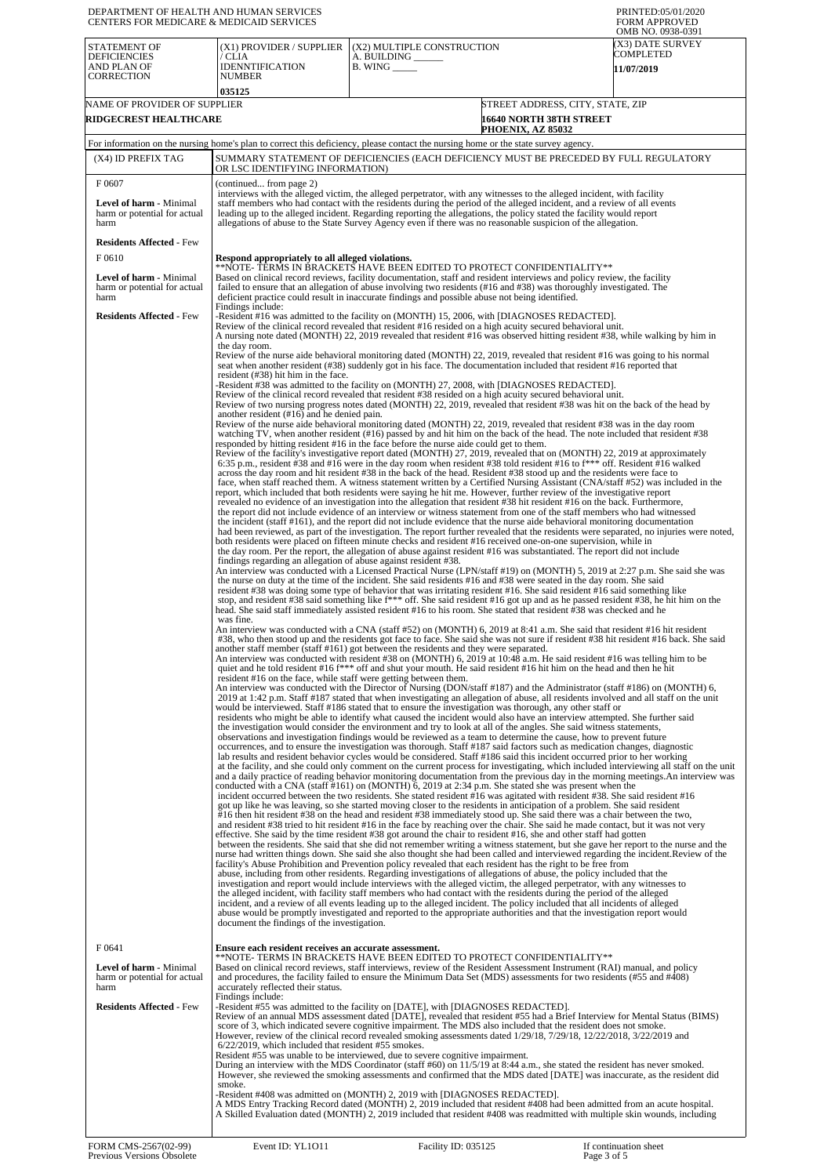| DEPARTMENT OF HEALTH AND HUMAN SERVICES<br>CENTERS FOR MEDICARE & MEDICAID SERVICES                |                                                                                                      |                                                                                                                                                                                                                                                                                                                                                                                                                                                                                                                                                                                                                                                                                                                                                                                                                                                                                                                                                                                                                                                                                                                                                                                                                                                                                                                                                                                                                                                                                                                                                             | PRINTED:05/01/2020<br><b>FORM APPROVED</b><br>OMB NO. 0938-0391                                                                                                                                                                                                              |
|----------------------------------------------------------------------------------------------------|------------------------------------------------------------------------------------------------------|-------------------------------------------------------------------------------------------------------------------------------------------------------------------------------------------------------------------------------------------------------------------------------------------------------------------------------------------------------------------------------------------------------------------------------------------------------------------------------------------------------------------------------------------------------------------------------------------------------------------------------------------------------------------------------------------------------------------------------------------------------------------------------------------------------------------------------------------------------------------------------------------------------------------------------------------------------------------------------------------------------------------------------------------------------------------------------------------------------------------------------------------------------------------------------------------------------------------------------------------------------------------------------------------------------------------------------------------------------------------------------------------------------------------------------------------------------------------------------------------------------------------------------------------------------------|------------------------------------------------------------------------------------------------------------------------------------------------------------------------------------------------------------------------------------------------------------------------------|
| STATEMENT OF<br><b>DEFICIENCIES</b><br>AND PLAN OF<br>CORRECTION                                   | (X1) PROVIDER / SUPPLIER<br>' CLIA<br><b>IDENNTIFICATION</b><br>NUMBER<br>035125                     | (X2) MULTIPLE CONSTRUCTION<br>A. BUILDING _____<br>$B.$ WING $\_\_\_\_\_\_\_\$                                                                                                                                                                                                                                                                                                                                                                                                                                                                                                                                                                                                                                                                                                                                                                                                                                                                                                                                                                                                                                                                                                                                                                                                                                                                                                                                                                                                                                                                              | (X3) DATE SURVEY<br>COMPLETED<br>11/07/2019                                                                                                                                                                                                                                  |
| NAME OF PROVIDER OF SUPPLIER<br>RIDGECREST HEALTHCARE                                              |                                                                                                      | PHOENIX, AZ 85032                                                                                                                                                                                                                                                                                                                                                                                                                                                                                                                                                                                                                                                                                                                                                                                                                                                                                                                                                                                                                                                                                                                                                                                                                                                                                                                                                                                                                                                                                                                                           | STREET ADDRESS, CITY, STATE, ZIP<br><b>16640 NORTH 38TH STREET</b>                                                                                                                                                                                                           |
| (X4) ID PREFIX TAG                                                                                 |                                                                                                      | For information on the nursing home's plan to correct this deficiency, please contact the nursing home or the state survey agency.<br>SUMMARY STATEMENT OF DEFICIENCIES (EACH DEFICIENCY MUST BE PRECEDED BY FULL REGULATORY                                                                                                                                                                                                                                                                                                                                                                                                                                                                                                                                                                                                                                                                                                                                                                                                                                                                                                                                                                                                                                                                                                                                                                                                                                                                                                                                |                                                                                                                                                                                                                                                                              |
| F0607                                                                                              | OR LSC IDENTIFYING INFORMATION)                                                                      |                                                                                                                                                                                                                                                                                                                                                                                                                                                                                                                                                                                                                                                                                                                                                                                                                                                                                                                                                                                                                                                                                                                                                                                                                                                                                                                                                                                                                                                                                                                                                             |                                                                                                                                                                                                                                                                              |
| <b>Level of harm - Minimal</b><br>harm or potential for actual<br>harm                             | (continued from page 2)                                                                              | interviews with the alleged victim, the alleged perpetrator, with any witnesses to the alleged incident, with facility<br>staff members who had contact with the residents during the period of the alleged incident, and a review of all events<br>leading up to the alleged incident. Regarding reporting the allegations, the policy stated the facility would report<br>allegations of abuse to the State Survey Agency even if there was no reasonable suspicion of the allegation.                                                                                                                                                                                                                                                                                                                                                                                                                                                                                                                                                                                                                                                                                                                                                                                                                                                                                                                                                                                                                                                                    |                                                                                                                                                                                                                                                                              |
| <b>Residents Affected - Few</b><br>F0610                                                           | Respond appropriately to all alleged violations.                                                     |                                                                                                                                                                                                                                                                                                                                                                                                                                                                                                                                                                                                                                                                                                                                                                                                                                                                                                                                                                                                                                                                                                                                                                                                                                                                                                                                                                                                                                                                                                                                                             |                                                                                                                                                                                                                                                                              |
| <b>Level of harm - Minimal</b><br>harm or potential for actual<br>harm                             | Findings include:                                                                                    | **NOTE- TERMS IN BRACKETS HAVE BEEN EDITED TO PROTECT CONFIDENTIALITY**<br>Based on clinical record reviews, facility documentation, staff and resident interviews and policy review, the facility<br>failed to ensure that an allegation of abuse involving two residents (#16 and #38) was thoroughly investigated. The<br>deficient practice could result in inaccurate findings and possible abuse not being identified.                                                                                                                                                                                                                                                                                                                                                                                                                                                                                                                                                                                                                                                                                                                                                                                                                                                                                                                                                                                                                                                                                                                                |                                                                                                                                                                                                                                                                              |
| <b>Residents Affected - Few</b>                                                                    | the day room.                                                                                        | -Resident #16 was admitted to the facility on (MONTH) 15, 2006, with [DIAGNOSES REDACTED].<br>Review of the clinical record revealed that resident #16 resided on a high acuity secured behavioral unit.<br>A nursing note dated (MONTH) 22, 2019 revealed that resident #16 was observed hitting resident #38, while walking by him in                                                                                                                                                                                                                                                                                                                                                                                                                                                                                                                                                                                                                                                                                                                                                                                                                                                                                                                                                                                                                                                                                                                                                                                                                     |                                                                                                                                                                                                                                                                              |
|                                                                                                    | resident (#38) hit him in the face.                                                                  | Review of the nurse aide behavioral monitoring dated (MONTH) 22, 2019, revealed that resident #16 was going to his normal<br>seat when another resident (#38) suddenly got in his face. The documentation included that resident #16 reported that<br>-Resident #38 was admitted to the facility on (MONTH) 27, 2008, with [DIAGNOSES REDACTED].<br>Review of the clinical record revealed that resident #38 resided on a high acuity secured behavioral unit.                                                                                                                                                                                                                                                                                                                                                                                                                                                                                                                                                                                                                                                                                                                                                                                                                                                                                                                                                                                                                                                                                              |                                                                                                                                                                                                                                                                              |
|                                                                                                    | another resident (#16) and he denied pain.                                                           | Review of two nursing progress notes dated (MONTH) 22, 2019, revealed that resident #38 was hit on the back of the head by<br>Review of the nurse aide behavioral monitoring dated (MONTH) 22, 2019, revealed that resident #38 was in the day room<br>watching TV, when another resident (#16) passed by and hit him on the back of the head. The note included that resident #38<br>responded by hitting resident #16 in the face before the nurse aide could get to them.                                                                                                                                                                                                                                                                                                                                                                                                                                                                                                                                                                                                                                                                                                                                                                                                                                                                                                                                                                                                                                                                                |                                                                                                                                                                                                                                                                              |
|                                                                                                    |                                                                                                      | Review of the facility's investigative report dated (MONTH) 27, 2019, revealed that on (MONTH) 22, 2019 at approximately<br>6:35 p.m., resident #38 and #16 were in the day room when resident #38 told resident #16 to $f***$ off. Resident #16 walked<br>across the day room and hit resident #38 in the back of the head. Resident #38 stood up and the residents were face to<br>face, when staff reached them. A witness statement written by a Certified Nursing Assistant (CNA/staff #52) was included in the<br>report, which included that both residents were saying he hit me. However, further review of the investigative report                                                                                                                                                                                                                                                                                                                                                                                                                                                                                                                                                                                                                                                                                                                                                                                                                                                                                                               |                                                                                                                                                                                                                                                                              |
|                                                                                                    |                                                                                                      | revealed no evidence of an investigation into the allegation that resident #38 hit resident #16 on the back. Furthermore,<br>the report did not include evidence of an interview or witness statement from one of the staff members who had witnessed<br>the incident (staff #161), and the report did not include evidence that the nurse aide behavioral monitoring documentation<br>both residents were placed on fifteen minute checks and resident #16 received one-on-one supervision, while in                                                                                                                                                                                                                                                                                                                                                                                                                                                                                                                                                                                                                                                                                                                                                                                                                                                                                                                                                                                                                                                       | had been reviewed, as part of the investigation. The report further revealed that the residents were separated, no injuries were noted,                                                                                                                                      |
|                                                                                                    | findings regarding an allegation of abuse against resident #38.                                      | the day room. Per the report, the allegation of abuse against resident #16 was substantiated. The report did not include<br>An interview was conducted with a Licensed Practical Nurse (LPN/staff #19) on (MONTH) 5, 2019 at 2:27 p.m. She said she was<br>the nurse on duty at the time of the incident. She said residents #16 and #38 were seated in the day room. She said<br>resident #38 was doing some type of behavior that was irritating resident #16. She said resident #16 said something like<br>stop, and resident #38 said something like $f^{***}$ off. She said resident #16 got up and as he passed resident #38, he hit him on the<br>head. She said staff immediately assisted resident #16 to his room. She stated that resident #38 was checked and he                                                                                                                                                                                                                                                                                                                                                                                                                                                                                                                                                                                                                                                                                                                                                                                |                                                                                                                                                                                                                                                                              |
|                                                                                                    | was fine.                                                                                            | An interview was conducted with a CNA (staff #52) on (MONTH) 6, 2019 at 8:41 a.m. She said that resident #16 hit resident<br>#38, who then stood up and the residents got face to face. She said she was not sure if resident #38 hit resident #16 back. She said<br>another staff member (staff #161) got between the residents and they were separated.<br>An interview was conducted with resident #38 on (MONTH) 6, 2019 at 10:48 a.m. He said resident #16 was telling him to be<br>quiet and he told resident #16 f*** off and shut your mouth. He said resident #16 hit him on the head and then he hit                                                                                                                                                                                                                                                                                                                                                                                                                                                                                                                                                                                                                                                                                                                                                                                                                                                                                                                                              |                                                                                                                                                                                                                                                                              |
|                                                                                                    | resident #16 on the face, while staff were getting between them.                                     | An interview was conducted with the Director of Nursing (DON/staff #187) and the Administrator (staff #186) on (MONTH) 6,<br>2019 at 1:42 p.m. Staff #187 stated that when investigating an allegation of abuse, all residents involved and all staff on the unit<br>would be interviewed. Staff #186 stated that to ensure the investigation was thorough, any other staff or<br>residents who might be able to identify what caused the incident would also have an interview attempted. She further said<br>the investigation would consider the environment and try to look at all of the angles. She said witness statements,                                                                                                                                                                                                                                                                                                                                                                                                                                                                                                                                                                                                                                                                                                                                                                                                                                                                                                                          |                                                                                                                                                                                                                                                                              |
|                                                                                                    |                                                                                                      | observations and investigation findings would be reviewed as a team to determine the cause, how to prevent future<br>occurrences, and to ensure the investigation was thorough. Staff #187 said factors such as medication changes, diagnostic<br>lab results and resident behavior cycles would be considered. Staff #186 said this incident occurred prior to her working<br>conducted with a CNA (staff $\#161$ ) on (MONTH) 6, 2019 at 2:34 p.m. She stated she was present when the<br>incident occurred between the two residents. She stated resident #16 was agitated with resident #38. She said resident #16                                                                                                                                                                                                                                                                                                                                                                                                                                                                                                                                                                                                                                                                                                                                                                                                                                                                                                                                      | at the facility, and she could only comment on the current process for investigating, which included interviewing all staff on the unit<br>and a daily practice of reading behavior monitoring documentation from the previous day in the morning meetings. An interview was |
|                                                                                                    |                                                                                                      | got up like he was leaving, so she started moving closer to the residents in anticipation of a problem. She said resident<br>#16 then hit resident #38 on the head and resident #38 immediately stood up. She said there was a chair between the two,<br>and resident #38 tried to hit resident #16 in the face by reaching over the chair. She said he made contact, but it was not very<br>effective. She said by the time resident $\#38$ got around the chair to resident $\#16$ , she and other staff had gotten<br>between the residents. She said that she did not remember writing a witness statement, but she gave her report to the nurse and the<br>nurse had written things down. She said she also thought she had been called and interviewed regarding the incident. Review of the<br>facility's Abuse Prohibition and Prevention policy revealed that each resident has the right to be free from<br>abuse, including from other residents. Regarding investigations of allegations of abuse, the policy included that the<br>investigation and report would include interviews with the alleged victim, the alleged perpetrator, with any witnesses to<br>the alleged incident, with facility staff members who had contact with the residents during the period of the alleged<br>incident, and a review of all events leading up to the alleged incident. The policy included that all incidents of alleged<br>abuse would be promptly investigated and reported to the appropriate authorities and that the investigation report would |                                                                                                                                                                                                                                                                              |
| F0641                                                                                              | document the findings of the investigation.<br>Ensure each resident receives an accurate assessment. | **NOTE- TERMS IN BRACKETS HAVE BEEN EDITED TO PROTECT CONFIDENTIALITY**                                                                                                                                                                                                                                                                                                                                                                                                                                                                                                                                                                                                                                                                                                                                                                                                                                                                                                                                                                                                                                                                                                                                                                                                                                                                                                                                                                                                                                                                                     |                                                                                                                                                                                                                                                                              |
| Level of harm - Minimal<br>harm or potential for actual<br>harm<br><b>Residents Affected - Few</b> | accurately reflected their status.<br>Findings include:                                              | Based on clinical record reviews, staff interviews, review of the Resident Assessment Instrument (RAI) manual, and policy<br>and procedures, the facility failed to ensure the Minimum Data Set (MDS) assessments for two residents (#55 and #408)<br>-Resident #55 was admitted to the facility on [DATE], with [DIAGNOSES REDACTED].                                                                                                                                                                                                                                                                                                                                                                                                                                                                                                                                                                                                                                                                                                                                                                                                                                                                                                                                                                                                                                                                                                                                                                                                                      |                                                                                                                                                                                                                                                                              |
|                                                                                                    | $6/22/2019$ , which included that resident #55 smokes.                                               | Review of an annual MDS assessment dated [DATE], revealed that resident #55 had a Brief Interview for Mental Status (BIMS)<br>score of 3, which indicated severe cognitive impairment. The MDS also included that the resident does not smoke.<br>However, review of the clinical record revealed smoking assessments dated 1/29/18, 7/29/18, 12/22/2018, 3/22/2019 and<br>Resident #55 was unable to be interviewed, due to severe cognitive impairment.<br>During an interview with the MDS Coordinator (staff #60) on 11/5/19 at 8:44 a.m., she stated the resident has never smoked.                                                                                                                                                                                                                                                                                                                                                                                                                                                                                                                                                                                                                                                                                                                                                                                                                                                                                                                                                                    |                                                                                                                                                                                                                                                                              |
|                                                                                                    | smoke.                                                                                               | However, she reviewed the smoking assessments and confirmed that the MDS dated [DATE] was inaccurate, as the resident did<br>-Resident #408 was admitted on (MONTH) 2, 2019 with [DIAGNOSES REDACTED].<br>A MDS Entry Tracking Record dated (MONTH) 2, 2019 included that resident #408 had been admitted from an acute hospital.<br>A Skilled Evaluation dated (MONTH) 2, 2019 included that resident #408 was readmitted with multiple skin wounds, including                                                                                                                                                                                                                                                                                                                                                                                                                                                                                                                                                                                                                                                                                                                                                                                                                                                                                                                                                                                                                                                                                             |                                                                                                                                                                                                                                                                              |
| FORM CMS-2567(02-99)<br>Previous Versions Obsolete                                                 | Event ID: YL1011                                                                                     | Facility ID: 035125                                                                                                                                                                                                                                                                                                                                                                                                                                                                                                                                                                                                                                                                                                                                                                                                                                                                                                                                                                                                                                                                                                                                                                                                                                                                                                                                                                                                                                                                                                                                         | If continuation sheet<br>Page 3 of 5                                                                                                                                                                                                                                         |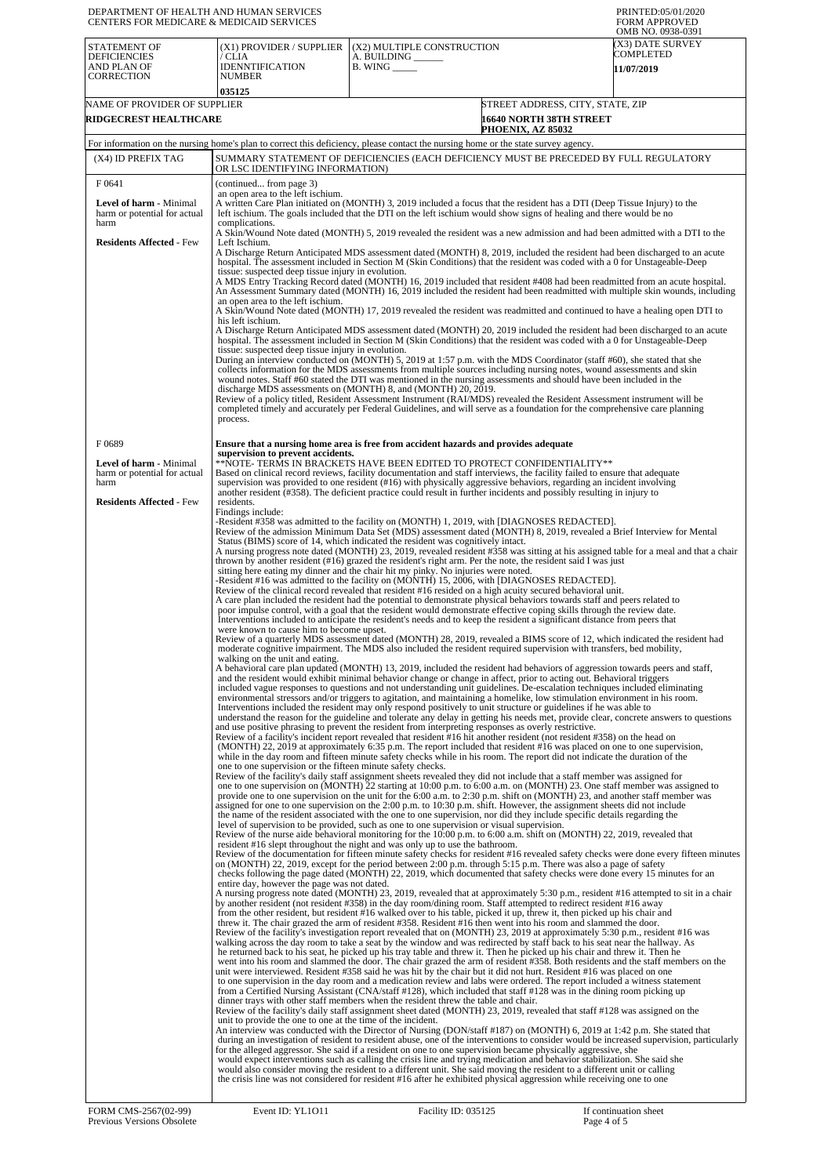| DEPARTMENT OF HEALTH AND HUMAN SERVICES<br>CENTERS FOR MEDICARE & MEDICAID SERVICES |                                                                                                                                                                                                                                                                                                                                                                                                                                                                                                                                                                                                                                                                                                                                                                                                                                                                                                                                          |                                                                                                                                                                                                                                                                                                                                                                                                                                                                                                       | PRINTED:05/01/2020<br><b>FORM APPROVED</b>                                                                                                                                                                                                                           |  |
|-------------------------------------------------------------------------------------|------------------------------------------------------------------------------------------------------------------------------------------------------------------------------------------------------------------------------------------------------------------------------------------------------------------------------------------------------------------------------------------------------------------------------------------------------------------------------------------------------------------------------------------------------------------------------------------------------------------------------------------------------------------------------------------------------------------------------------------------------------------------------------------------------------------------------------------------------------------------------------------------------------------------------------------|-------------------------------------------------------------------------------------------------------------------------------------------------------------------------------------------------------------------------------------------------------------------------------------------------------------------------------------------------------------------------------------------------------------------------------------------------------------------------------------------------------|----------------------------------------------------------------------------------------------------------------------------------------------------------------------------------------------------------------------------------------------------------------------|--|
| STATEMENT OF<br><b>DEFICIENCIES</b>                                                 | (X1) PROVIDER / SUPPLIER<br>/ CLIA                                                                                                                                                                                                                                                                                                                                                                                                                                                                                                                                                                                                                                                                                                                                                                                                                                                                                                       | (X2) MULTIPLE CONSTRUCTION<br>A. BUILDING ______                                                                                                                                                                                                                                                                                                                                                                                                                                                      | OMB NO. 0938-0391<br>(X3) DATE SURVEY<br>COMPLETED                                                                                                                                                                                                                   |  |
| AND PLAN OF<br><b>CORRECTION</b>                                                    | <b>IDENNTIFICATION</b><br><b>NUMBER</b>                                                                                                                                                                                                                                                                                                                                                                                                                                                                                                                                                                                                                                                                                                                                                                                                                                                                                                  | $B.$ WING $\_\_\_\_\_\$                                                                                                                                                                                                                                                                                                                                                                                                                                                                               | 11/07/2019                                                                                                                                                                                                                                                           |  |
| NAME OF PROVIDER OF SUPPLIER                                                        | 035125                                                                                                                                                                                                                                                                                                                                                                                                                                                                                                                                                                                                                                                                                                                                                                                                                                                                                                                                   |                                                                                                                                                                                                                                                                                                                                                                                                                                                                                                       | STREET ADDRESS, CITY, STATE, ZIP                                                                                                                                                                                                                                     |  |
| <b>RIDGECREST HEALTHCARE</b><br><b>16640 NORTH 38TH STREET</b><br>PHOENIX, AZ 85032 |                                                                                                                                                                                                                                                                                                                                                                                                                                                                                                                                                                                                                                                                                                                                                                                                                                                                                                                                          |                                                                                                                                                                                                                                                                                                                                                                                                                                                                                                       |                                                                                                                                                                                                                                                                      |  |
|                                                                                     |                                                                                                                                                                                                                                                                                                                                                                                                                                                                                                                                                                                                                                                                                                                                                                                                                                                                                                                                          | For information on the nursing home's plan to correct this deficiency, please contact the nursing home or the state survey agency.                                                                                                                                                                                                                                                                                                                                                                    |                                                                                                                                                                                                                                                                      |  |
| (X4) ID PREFIX TAG                                                                  | OR LSC IDENTIFYING INFORMATION)                                                                                                                                                                                                                                                                                                                                                                                                                                                                                                                                                                                                                                                                                                                                                                                                                                                                                                          |                                                                                                                                                                                                                                                                                                                                                                                                                                                                                                       | SUMMARY STATEMENT OF DEFICIENCIES (EACH DEFICIENCY MUST BE PRECEDED BY FULL REGULATORY                                                                                                                                                                               |  |
| F0641                                                                               | (continued from page 3)<br>an open area to the left ischium.                                                                                                                                                                                                                                                                                                                                                                                                                                                                                                                                                                                                                                                                                                                                                                                                                                                                             |                                                                                                                                                                                                                                                                                                                                                                                                                                                                                                       |                                                                                                                                                                                                                                                                      |  |
| Level of harm - Minimal<br>harm or potential for actual<br>harm                     | complications.                                                                                                                                                                                                                                                                                                                                                                                                                                                                                                                                                                                                                                                                                                                                                                                                                                                                                                                           | A written Care Plan initiated on (MONTH) 3, 2019 included a focus that the resident has a DTI (Deep Tissue Injury) to the<br>left ischium. The goals included that the DTI on the left ischium would show signs of healing and there would be no                                                                                                                                                                                                                                                      |                                                                                                                                                                                                                                                                      |  |
| <b>Residents Affected - Few</b>                                                     | Left Ischium.                                                                                                                                                                                                                                                                                                                                                                                                                                                                                                                                                                                                                                                                                                                                                                                                                                                                                                                            |                                                                                                                                                                                                                                                                                                                                                                                                                                                                                                       | A Skin/Wound Note dated (MONTH) 5, 2019 revealed the resident was a new admission and had been admitted with a DTI to the                                                                                                                                            |  |
|                                                                                     | A Discharge Return Anticipated MDS assessment dated (MONTH) 8, 2019, included the resident had been discharged to an acute<br>hospital. The assessment included in Section M (Skin Conditions) that the resident was coded with a 0 for Unstageable-Deep<br>tissue: suspected deep tissue injury in evolution.<br>A MDS Entry Tracking Record dated (MONTH) 16, 2019 included that resident #408 had been readmitted from an acute hospital.<br>An Assessment Summary dated (MONTH) 16, 2019 included the resident had been readmitted with multiple skin wounds, including<br>an open area to the left ischium.<br>A Skin/Wound Note dated (MONTH) 17, 2019 revealed the resident was readmitted and continued to have a healing open DTI to<br>his left ischium.<br>A Discharge Return Anticipated MDS assessment dated (MONTH) 20, 2019 included the resident had been discharged to an acute                                         |                                                                                                                                                                                                                                                                                                                                                                                                                                                                                                       |                                                                                                                                                                                                                                                                      |  |
|                                                                                     |                                                                                                                                                                                                                                                                                                                                                                                                                                                                                                                                                                                                                                                                                                                                                                                                                                                                                                                                          |                                                                                                                                                                                                                                                                                                                                                                                                                                                                                                       |                                                                                                                                                                                                                                                                      |  |
|                                                                                     |                                                                                                                                                                                                                                                                                                                                                                                                                                                                                                                                                                                                                                                                                                                                                                                                                                                                                                                                          |                                                                                                                                                                                                                                                                                                                                                                                                                                                                                                       |                                                                                                                                                                                                                                                                      |  |
|                                                                                     | tissue: suspected deep tissue injury in evolution.                                                                                                                                                                                                                                                                                                                                                                                                                                                                                                                                                                                                                                                                                                                                                                                                                                                                                       | During an interview conducted on (MONTH) 5, 2019 at 1:57 p.m. with the MDS Coordinator (staff #60), she stated that she                                                                                                                                                                                                                                                                                                                                                                               | hospital. The assessment included in Section M (Skin Conditions) that the resident was coded with a 0 for Unstageable-Deep                                                                                                                                           |  |
|                                                                                     |                                                                                                                                                                                                                                                                                                                                                                                                                                                                                                                                                                                                                                                                                                                                                                                                                                                                                                                                          | collects information for the MDS assessments from multiple sources including nursing notes, wound assessments and skin<br>wound notes. Staff #60 stated the DTI was mentioned in the nursing assessments and should have been included in the                                                                                                                                                                                                                                                         |                                                                                                                                                                                                                                                                      |  |
|                                                                                     |                                                                                                                                                                                                                                                                                                                                                                                                                                                                                                                                                                                                                                                                                                                                                                                                                                                                                                                                          | discharge MDS assessments on (MONTH) 8, and (MONTH) 20, 2019.<br>Review of a policy titled, Resident Assessment Instrument (RAI/MDS) revealed the Resident Assessment instrument will be<br>completed timely and accurately per Federal Guidelines, and will serve as a foundation for the comprehensive care planning                                                                                                                                                                                |                                                                                                                                                                                                                                                                      |  |
|                                                                                     | process.                                                                                                                                                                                                                                                                                                                                                                                                                                                                                                                                                                                                                                                                                                                                                                                                                                                                                                                                 |                                                                                                                                                                                                                                                                                                                                                                                                                                                                                                       |                                                                                                                                                                                                                                                                      |  |
| F0689                                                                               | supervision to prevent accidents.                                                                                                                                                                                                                                                                                                                                                                                                                                                                                                                                                                                                                                                                                                                                                                                                                                                                                                        | Ensure that a nursing home area is free from accident hazards and provides adequate                                                                                                                                                                                                                                                                                                                                                                                                                   |                                                                                                                                                                                                                                                                      |  |
| Level of harm - Minimal<br>harm or potential for actual                             |                                                                                                                                                                                                                                                                                                                                                                                                                                                                                                                                                                                                                                                                                                                                                                                                                                                                                                                                          | **NOTE- TERMS IN BRACKETS HAVE BEEN EDITED TO PROTECT CONFIDENTIALITY**<br>Based on clinical record reviews, facility documentation and staff interviews, the facility failed to ensure that adequate                                                                                                                                                                                                                                                                                                 |                                                                                                                                                                                                                                                                      |  |
| harm<br><b>Residents Affected - Few</b>                                             | residents.                                                                                                                                                                                                                                                                                                                                                                                                                                                                                                                                                                                                                                                                                                                                                                                                                                                                                                                               | supervision was provided to one resident (#16) with physically aggressive behaviors, regarding an incident involving<br>another resident (#358). The deficient practice could result in further incidents and possibly resulting in injury to                                                                                                                                                                                                                                                         |                                                                                                                                                                                                                                                                      |  |
|                                                                                     | Findings include:                                                                                                                                                                                                                                                                                                                                                                                                                                                                                                                                                                                                                                                                                                                                                                                                                                                                                                                        | -Resident #358 was admitted to the facility on (MONTH) 1, 2019, with [DIAGNOSES REDACTED].                                                                                                                                                                                                                                                                                                                                                                                                            |                                                                                                                                                                                                                                                                      |  |
|                                                                                     |                                                                                                                                                                                                                                                                                                                                                                                                                                                                                                                                                                                                                                                                                                                                                                                                                                                                                                                                          | Status (BIMS) score of 14, which indicated the resident was cognitively intact.                                                                                                                                                                                                                                                                                                                                                                                                                       | Review of the admission Minimum Data Set (MDS) assessment dated (MONTH) 8, 2019, revealed a Brief Interview for Mental                                                                                                                                               |  |
|                                                                                     | A nursing progress note dated (MONTH) 23, 2019, revealed resident #358 was sitting at his assigned table for a meal and that a chair<br>thrown by another resident (#16) grazed the resident's right arm. Per the note, the resident said I was just<br>sitting here eating my dinner and the chair hit my pinky. No injuries were noted.<br>-Resident #16 was admitted to the facility on (MONTH) 15, 2006, with [DIAGNOSES REDACTED].<br>Review of the clinical record revealed that resident #16 resided on a high acuity secured behavioral unit.<br>A care plan included the resident had the potential to demonstrate physical behaviors towards staff and peers related to<br>poor impulse control, with a goal that the resident would demonstrate effective coping skills through the review date.<br>Interventions included to anticipate the resident's needs and to keep the resident a significant distance from peers that |                                                                                                                                                                                                                                                                                                                                                                                                                                                                                                       |                                                                                                                                                                                                                                                                      |  |
|                                                                                     |                                                                                                                                                                                                                                                                                                                                                                                                                                                                                                                                                                                                                                                                                                                                                                                                                                                                                                                                          |                                                                                                                                                                                                                                                                                                                                                                                                                                                                                                       |                                                                                                                                                                                                                                                                      |  |
|                                                                                     |                                                                                                                                                                                                                                                                                                                                                                                                                                                                                                                                                                                                                                                                                                                                                                                                                                                                                                                                          |                                                                                                                                                                                                                                                                                                                                                                                                                                                                                                       |                                                                                                                                                                                                                                                                      |  |
|                                                                                     | were known to cause him to become upset.<br>Review of a quarterly MDS assessment dated (MONTH) 28, 2019, revealed a BIMS score of 12, which indicated the resident had<br>moderate cognitive impairment. The MDS also included the resident required supervision with transfers, bed mobility,                                                                                                                                                                                                                                                                                                                                                                                                                                                                                                                                                                                                                                           |                                                                                                                                                                                                                                                                                                                                                                                                                                                                                                       |                                                                                                                                                                                                                                                                      |  |
|                                                                                     | walking on the unit and eating.                                                                                                                                                                                                                                                                                                                                                                                                                                                                                                                                                                                                                                                                                                                                                                                                                                                                                                          |                                                                                                                                                                                                                                                                                                                                                                                                                                                                                                       | A behavioral care plan updated (MONTH) 13, 2019, included the resident had behaviors of aggression towards peers and staff,                                                                                                                                          |  |
|                                                                                     |                                                                                                                                                                                                                                                                                                                                                                                                                                                                                                                                                                                                                                                                                                                                                                                                                                                                                                                                          | and the resident would exhibit minimal behavior change or change in affect, prior to acting out. Behavioral triggers<br>included vague responses to questions and not understanding unit guidelines. De-escalation techniques included eliminating<br>environmental stressors and/or triggers to agitation, and maintaining a homelike, low stimulation environment in his room.<br>Interventions included the resident may only respond positively to unit structure or guidelines if he was able to | understand the reason for the guideline and tolerate any delay in getting his needs met, provide clear, concrete answers to questions                                                                                                                                |  |
|                                                                                     |                                                                                                                                                                                                                                                                                                                                                                                                                                                                                                                                                                                                                                                                                                                                                                                                                                                                                                                                          | and use positive phrasing to prevent the resident from interpreting responses as overly restrictive.<br>Review of a facility's incident report revealed that resident #16 hit another resident (not resident #358) on the head on                                                                                                                                                                                                                                                                     |                                                                                                                                                                                                                                                                      |  |
|                                                                                     | one to one supervision or the fifteen minute safety checks.                                                                                                                                                                                                                                                                                                                                                                                                                                                                                                                                                                                                                                                                                                                                                                                                                                                                              | (MONTH) 22, 2019 at approximately 6:35 p.m. The report included that resident #16 was placed on one to one supervision,<br>while in the day room and fifteen minute safety checks while in his room. The report did not indicate the duration of the                                                                                                                                                                                                                                                  |                                                                                                                                                                                                                                                                      |  |
|                                                                                     |                                                                                                                                                                                                                                                                                                                                                                                                                                                                                                                                                                                                                                                                                                                                                                                                                                                                                                                                          | Review of the facility's daily staff assignment sheets revealed they did not include that a staff member was assigned for                                                                                                                                                                                                                                                                                                                                                                             | one to one supervision on (MONTH) 22 starting at 10:00 p.m. to 6:00 a.m. on (MONTH) 23. One staff member was assigned to<br>provide one to one supervision on the unit for the 6:00 a.m. to 2:30 p.m. shift on (MONTH) 23, and another staff member was              |  |
|                                                                                     |                                                                                                                                                                                                                                                                                                                                                                                                                                                                                                                                                                                                                                                                                                                                                                                                                                                                                                                                          | assigned for one to one supervision on the 2:00 p.m. to 10:30 p.m. shift. However, the assignment sheets did not include<br>the name of the resident associated with the one to one supervision, nor did they include specific details regarding the                                                                                                                                                                                                                                                  |                                                                                                                                                                                                                                                                      |  |
|                                                                                     |                                                                                                                                                                                                                                                                                                                                                                                                                                                                                                                                                                                                                                                                                                                                                                                                                                                                                                                                          | level of supervision to be provided, such as one to one supervision or visual supervision.<br>Review of the nurse aide behavioral monitoring for the 10:00 p.m. to 6:00 a.m. shift on (MONTH) 22, 2019, revealed that<br>resident #16 slept throughout the night and was only up to use the bathroom.                                                                                                                                                                                                 |                                                                                                                                                                                                                                                                      |  |
|                                                                                     |                                                                                                                                                                                                                                                                                                                                                                                                                                                                                                                                                                                                                                                                                                                                                                                                                                                                                                                                          | on (MONTH) 22, 2019, except for the period between 2:00 p.m. through 5:15 p.m. There was also a page of safety                                                                                                                                                                                                                                                                                                                                                                                        | Review of the documentation for fifteen minute safety checks for resident #16 revealed safety checks were done every fifteen minutes<br>checks following the page dated (MONTH) 22, 2019, which documented that safety checks were done every 15 minutes for an      |  |
|                                                                                     | entire day, however the page was not dated.                                                                                                                                                                                                                                                                                                                                                                                                                                                                                                                                                                                                                                                                                                                                                                                                                                                                                              | by another resident (not resident #358) in the day room/dining room. Staff attempted to redirect resident #16 away                                                                                                                                                                                                                                                                                                                                                                                    | A nursing progress note dated (MONTH) 23, 2019, revealed that at approximately 5:30 p.m., resident #16 attempted to sit in a chair                                                                                                                                   |  |
|                                                                                     |                                                                                                                                                                                                                                                                                                                                                                                                                                                                                                                                                                                                                                                                                                                                                                                                                                                                                                                                          | from the other resident, but resident #16 walked over to his table, picked it up, threw it, then picked up his chair and<br>threw it. The chair grazed the arm of resident #358. Resident #16 then went into his room and slammed the door.                                                                                                                                                                                                                                                           |                                                                                                                                                                                                                                                                      |  |
|                                                                                     |                                                                                                                                                                                                                                                                                                                                                                                                                                                                                                                                                                                                                                                                                                                                                                                                                                                                                                                                          | walking across the day room to take a seat by the window and was redirected by staff back to his seat near the hallway. As<br>he returned back to his seat, he picked up his tray table and threw it. Then he picked up his chair and threw it. Then he                                                                                                                                                                                                                                               | Review of the facility's investigation report revealed that on (MONTH) 23, 2019 at approximately 5:30 p.m., resident #16 was<br>went into his room and slammed the door. The chair grazed the arm of resident #358. Both residents and the staff members on the      |  |
|                                                                                     |                                                                                                                                                                                                                                                                                                                                                                                                                                                                                                                                                                                                                                                                                                                                                                                                                                                                                                                                          | unit were interviewed. Resident #358 said he was hit by the chair but it did not hurt. Resident #16 was placed on one<br>to one supervision in the day room and a medication review and labs were ordered. The report included a witness statement<br>from a Certified Nursing Assistant (CNA/staff #128), which included that staff #128 was in the dining room picking up                                                                                                                           |                                                                                                                                                                                                                                                                      |  |
|                                                                                     |                                                                                                                                                                                                                                                                                                                                                                                                                                                                                                                                                                                                                                                                                                                                                                                                                                                                                                                                          | dinner trays with other staff members when the resident threw the table and chair.<br>Review of the facility's daily staff assignment sheet dated (MONTH) 23, 2019, revealed that staff #128 was assigned on the                                                                                                                                                                                                                                                                                      |                                                                                                                                                                                                                                                                      |  |
|                                                                                     | unit to provide the one to one at the time of the incident.                                                                                                                                                                                                                                                                                                                                                                                                                                                                                                                                                                                                                                                                                                                                                                                                                                                                              |                                                                                                                                                                                                                                                                                                                                                                                                                                                                                                       | An interview was conducted with the Director of Nursing (DON/staff #187) on (MONTH) 6, 2019 at 1:42 p.m. She stated that<br>during an investigation of resident to resident abuse, one of the interventions to consider would be increased supervision, particularly |  |
|                                                                                     |                                                                                                                                                                                                                                                                                                                                                                                                                                                                                                                                                                                                                                                                                                                                                                                                                                                                                                                                          | for the alleged aggressor. She said if a resident on one to one supervision became physically aggressive, she<br>would expect interventions such as calling the crisis line and trying medication and behavior stabilization. She said she                                                                                                                                                                                                                                                            |                                                                                                                                                                                                                                                                      |  |
|                                                                                     |                                                                                                                                                                                                                                                                                                                                                                                                                                                                                                                                                                                                                                                                                                                                                                                                                                                                                                                                          | would also consider moving the resident to a different unit. She said moving the resident to a different unit or calling<br>the crisis line was not considered for resident #16 after he exhibited physical aggression while receiving one to one                                                                                                                                                                                                                                                     |                                                                                                                                                                                                                                                                      |  |
|                                                                                     |                                                                                                                                                                                                                                                                                                                                                                                                                                                                                                                                                                                                                                                                                                                                                                                                                                                                                                                                          |                                                                                                                                                                                                                                                                                                                                                                                                                                                                                                       |                                                                                                                                                                                                                                                                      |  |